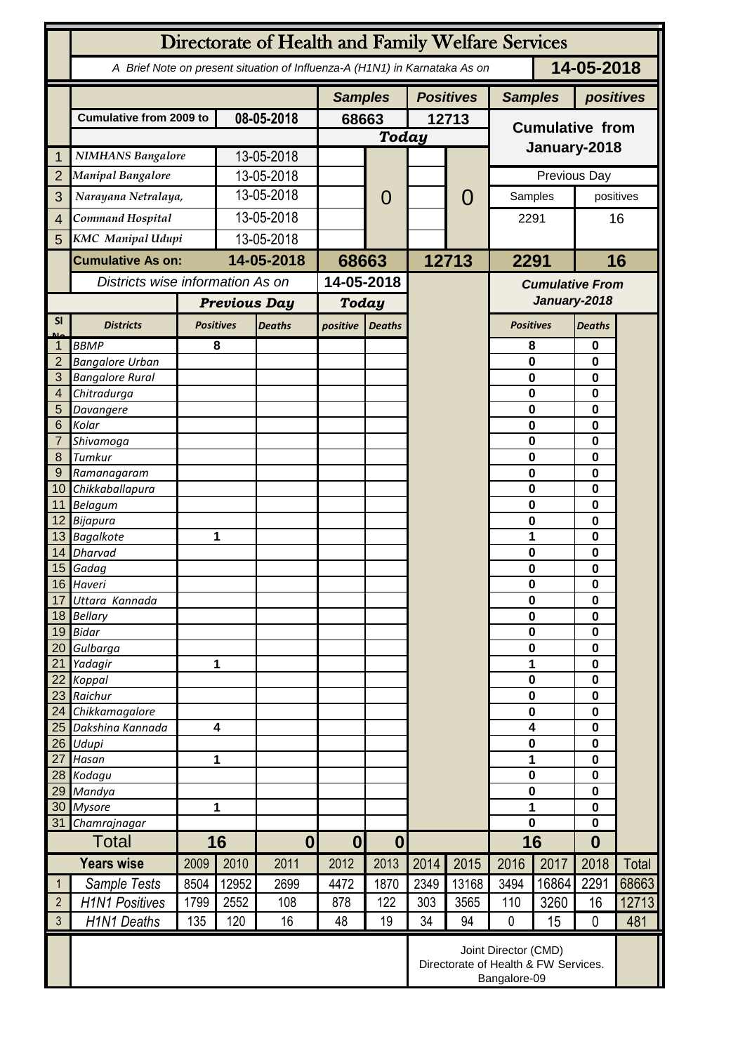|                     | Directorate of Health and Family Welfare Services                                        |      |                     |                  |                       |                          |       |                                                                              |                            |                         |                      |        |  |
|---------------------|------------------------------------------------------------------------------------------|------|---------------------|------------------|-----------------------|--------------------------|-------|------------------------------------------------------------------------------|----------------------------|-------------------------|----------------------|--------|--|
|                     | 14-05-2018<br>A Brief Note on present situation of Influenza-A (H1N1) in Karnataka As on |      |                     |                  |                       |                          |       |                                                                              |                            |                         |                      |        |  |
|                     |                                                                                          |      |                     |                  | <b>Samples</b>        |                          |       | <b>Positives</b>                                                             | <b>Samples</b>             |                         | positives            |        |  |
|                     | <b>Cumulative from 2009 to</b>                                                           |      | 08-05-2018          |                  | 68663<br><b>Today</b> |                          | 12713 |                                                                              | <b>Cumulative from</b>     |                         |                      |        |  |
|                     |                                                                                          |      |                     |                  |                       |                          |       |                                                                              |                            |                         |                      |        |  |
| 1                   | <b>NIMHANS Bangalore</b>                                                                 |      | 13-05-2018          |                  |                       |                          |       |                                                                              | January-2018               |                         |                      |        |  |
| $\overline{2}$      | <b>Manipal Bangalore</b>                                                                 |      | 13-05-2018          |                  |                       |                          |       |                                                                              |                            | Previous Day            |                      |        |  |
| 3                   | Narayana Netralaya,                                                                      |      |                     | 13-05-2018       |                       | 0                        |       | $\mathbf{O}$                                                                 | Samples                    |                         | positives            |        |  |
| $\overline{4}$      | Command Hospital                                                                         |      | 13-05-2018          |                  |                       |                          |       |                                                                              | 2291                       |                         | 16                   |        |  |
| 5                   | <b>KMC</b> Manipal Udupi                                                                 |      | 13-05-2018          |                  |                       |                          |       |                                                                              |                            |                         |                      |        |  |
|                     | <b>Cumulative As on:</b>                                                                 |      | 14-05-2018          |                  |                       |                          | 12713 |                                                                              | 2291                       |                         |                      | 16     |  |
|                     | Districts wise information As on                                                         |      |                     |                  | 68663<br>14-05-2018   |                          |       |                                                                              |                            |                         |                      |        |  |
|                     |                                                                                          |      |                     |                  |                       |                          |       | <b>Cumulative From</b><br>January-2018                                       |                            |                         |                      |        |  |
|                     |                                                                                          |      | <b>Previous Day</b> |                  | <b>Today</b>          |                          |       |                                                                              |                            |                         |                      |        |  |
| <b>SI</b>           | <b>Districts</b>                                                                         |      | <b>Positives</b>    | <b>Deaths</b>    | positive              | <b>Deaths</b>            |       |                                                                              | <b>Positives</b>           |                         | <b>Deaths</b>        |        |  |
|                     | <b>BBMP</b>                                                                              |      | 8                   |                  |                       |                          |       |                                                                              | 8                          |                         | 0                    |        |  |
| $\overline{2}$      | <b>Bangalore Urban</b>                                                                   |      |                     |                  |                       |                          |       |                                                                              | $\mathbf 0$                |                         | 0                    |        |  |
| 3<br>$\overline{4}$ | <b>Bangalore Rural</b>                                                                   |      |                     |                  |                       |                          |       |                                                                              | $\bf{0}$<br>$\bf{0}$       |                         | 0                    |        |  |
| 5                   | Chitradurga<br>Davangere                                                                 |      |                     |                  |                       |                          |       |                                                                              | $\bf{0}$                   |                         |                      | 0<br>0 |  |
| 6                   | Kolar                                                                                    |      |                     |                  |                       |                          |       |                                                                              | $\mathbf 0$                |                         | 0                    |        |  |
| 7                   | Shivamoga                                                                                |      |                     |                  |                       |                          |       |                                                                              | $\mathbf 0$                |                         | 0                    |        |  |
| 8                   | Tumkur                                                                                   |      |                     |                  |                       |                          |       |                                                                              | $\mathbf 0$                |                         | 0                    |        |  |
| 9                   | Ramanagaram                                                                              |      |                     |                  |                       |                          |       |                                                                              | $\bf{0}$                   |                         | 0                    |        |  |
|                     | 10 Chikkaballapura                                                                       |      |                     |                  |                       |                          |       |                                                                              | $\bf{0}$                   |                         | 0                    |        |  |
|                     | 11 Belagum                                                                               |      |                     |                  |                       |                          |       |                                                                              | $\mathbf 0$                |                         | 0                    |        |  |
|                     | 12 Bijapura<br>13 Bagalkote                                                              |      | 1                   |                  |                       |                          |       |                                                                              | $\mathbf 0$<br>1           |                         | 0<br>0               |        |  |
|                     | 14 Dharvad                                                                               |      |                     |                  |                       |                          |       |                                                                              | $\bf{0}$                   | 0                       |                      |        |  |
|                     | 15 Gadag                                                                                 |      |                     |                  |                       |                          |       |                                                                              | $\pmb{0}$                  |                         | 0                    |        |  |
|                     | 16 Haveri                                                                                |      |                     |                  |                       |                          |       |                                                                              | U                          |                         | U                    |        |  |
|                     | 17 Uttara Kannada                                                                        |      |                     |                  |                       |                          |       |                                                                              | $\bf{0}$                   |                         | 0                    |        |  |
|                     | 18 Bellary                                                                               |      |                     |                  |                       |                          |       |                                                                              | $\mathbf 0$                |                         | 0                    |        |  |
|                     | 19 Bidar                                                                                 |      |                     |                  |                       |                          |       |                                                                              | $\pmb{0}$<br>$\mathbf 0$   |                         | $\mathbf 0$          |        |  |
|                     | 20 Gulbarga<br>21 Yadagir                                                                |      | 1                   |                  |                       |                          |       |                                                                              | 1                          |                         | $\bf{0}$<br>$\bf{0}$ |        |  |
|                     | 22 Koppal                                                                                |      |                     |                  |                       |                          |       |                                                                              |                            | $\mathbf 0$             |                      |        |  |
|                     | 23 Raichur                                                                               |      |                     |                  |                       |                          |       |                                                                              |                            | $\mathbf 0$             |                      |        |  |
|                     | 24 Chikkamagalore                                                                        |      |                     |                  |                       |                          |       |                                                                              |                            | $\bf{0}$                |                      |        |  |
|                     | 25 Dakshina Kannada                                                                      |      | 4                   |                  |                       |                          |       |                                                                              |                            | $\overline{\mathbf{4}}$ |                      |        |  |
|                     | 26 Udupi                                                                                 |      |                     |                  |                       |                          |       |                                                                              |                            | $\bf{0}$                |                      |        |  |
| 27                  | Hasan                                                                                    |      | 1                   |                  |                       |                          |       |                                                                              | 1                          |                         | $\bf{0}$             |        |  |
|                     | 28 Kodagu<br>29 Mandya                                                                   |      |                     |                  |                       |                          |       |                                                                              | $\mathbf 0$<br>$\mathbf 0$ |                         | $\bf{0}$<br>$\bf{0}$ |        |  |
|                     | 30 Mysore                                                                                |      | 1                   |                  |                       |                          |       |                                                                              | 1                          |                         | $\bf{0}$             |        |  |
| 31                  | Chamrajnagar                                                                             |      |                     |                  |                       |                          |       |                                                                              | $\mathbf 0$                |                         | $\mathbf 0$          |        |  |
|                     | <b>Total</b>                                                                             |      | 16                  | $\boldsymbol{0}$ | 0                     |                          |       |                                                                              | 16                         |                         | $\boldsymbol{0}$     |        |  |
|                     | <b>Years wise</b>                                                                        | 2009 | 2010                | 2011             | 2012                  | $\boldsymbol{0}$<br>2013 | 2014  | 2015                                                                         | 2016                       | 2017                    | 2018                 | Total  |  |
| 1                   | Sample Tests                                                                             | 8504 | 12952               | 2699             | 4472                  | 1870                     | 2349  | 13168                                                                        | 3494                       | 16864                   | 2291                 | 68663  |  |
| $\overline{2}$      | <b>H1N1 Positives</b>                                                                    | 1799 | 2552                | 108              | 878                   | 122                      | 303   | 3565                                                                         | 110                        | 3260                    | 16                   | 12713  |  |
| $\mathfrak{Z}$      | <b>H1N1 Deaths</b>                                                                       | 135  | 120                 | 16               | 48                    | 19                       | 34    | 94                                                                           | $\mathbf 0$                | 15                      | $\mathbf{0}$         | 481    |  |
|                     |                                                                                          |      |                     |                  |                       |                          |       | Joint Director (CMD)<br>Directorate of Health & FW Services.<br>Bangalore-09 |                            |                         |                      |        |  |